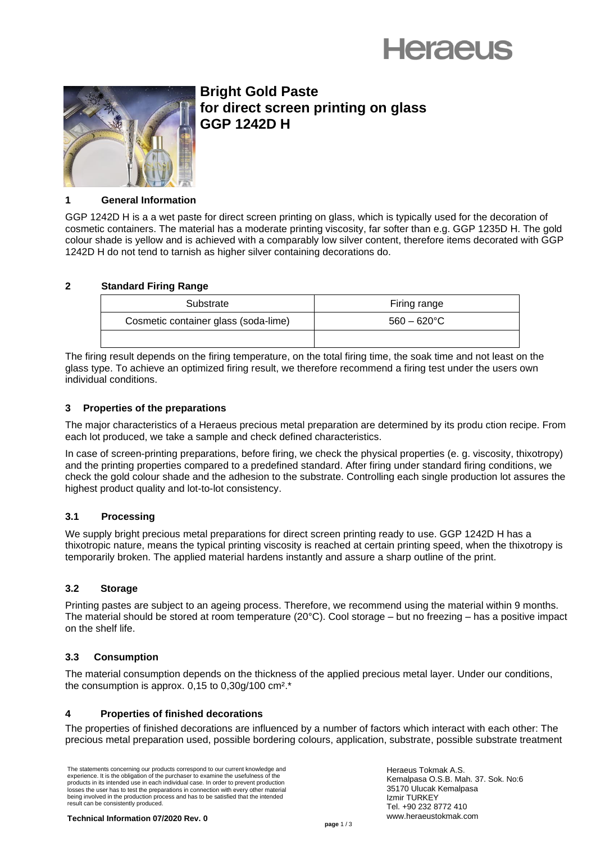



# **Bright Gold Paste for direct screen printing on glass GGP 1242D H**

## **1 General Information**

GGP 1242D H is a a wet paste for direct screen printing on glass, which is typically used for the decoration of cosmetic containers. The material has a moderate printing viscosity, far softer than e.g. GGP 1235D H. The gold colour shade is yellow and is achieved with a comparably low silver content, therefore items decorated with GGP 1242D H do not tend to tarnish as higher silver containing decorations do.

# **2 Standard Firing Range**

| Substrate                            | Firing range          |
|--------------------------------------|-----------------------|
| Cosmetic container glass (soda-lime) | $560 - 620^{\circ}$ C |
|                                      |                       |

The firing result depends on the firing temperature, on the total firing time, the soak time and not least on the glass type. To achieve an optimized firing result, we therefore recommend a firing test under the users own individual conditions.

## **3 Properties of the preparations**

The major characteristics of a Heraeus precious metal preparation are determined by its produ ction recipe. From each lot produced, we take a sample and check defined characteristics.

In case of screen-printing preparations, before firing, we check the physical properties (e. g. viscosity, thixotropy) and the printing properties compared to a predefined standard. After firing under standard firing conditions, we check the gold colour shade and the adhesion to the substrate. Controlling each single production lot assures the highest product quality and lot-to-lot consistency.

# **3.1 Processing**

We supply bright precious metal preparations for direct screen printing ready to use. GGP 1242D H has a thixotropic nature, means the typical printing viscosity is reached at certain printing speed, when the thixotropy is temporarily broken. The applied material hardens instantly and assure a sharp outline of the print.

# **3.2 Storage**

Printing pastes are subject to an ageing process. Therefore, we recommend using the material within 9 months. The material should be stored at room temperature (20°C). Cool storage – but no freezing – has a positive impact on the shelf life.

# **3.3 Consumption**

The material consumption depends on the thickness of the applied precious metal layer. Under our conditions, the consumption is approx.  $0.15$  to  $0.30q/100$  cm<sup>2\*</sup>.

# **4 Properties of finished decorations**

The properties of finished decorations are influenced by a number of factors which interact with each other: The precious metal preparation used, possible bordering colours, application, substrate, possible substrate treatment

The statements concerning our products correspond to our current knowledge and experience. It is the obligation of the purchaser to examine the usefulness of the products in its intended use in each individual case. In order to prevent production losses the user has to test the preparations in connection with every other material being involved in the production process and has to be satisfied that the intended result can be consistently produced.

Heraeus Tokmak A.S. Kemalpasa O.S.B. Mah. 37. Sok. No:6 35170 Ulucak Kemalpasa Izmir TURKEY Tel. +90 232 8772 410 www.heraeustokmak.com

**Technical Information 07/2020 Rev. 0**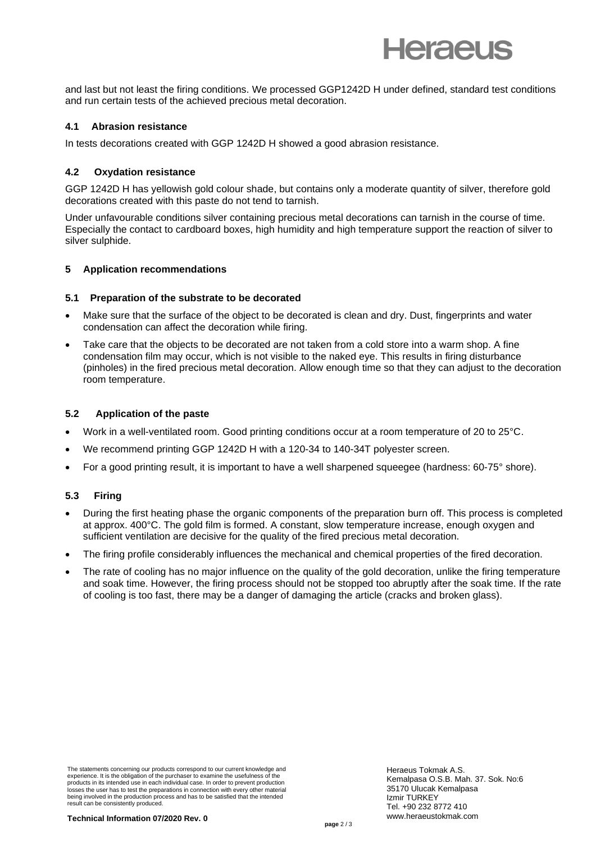

and last but not least the firing conditions. We processed GGP1242D H under defined, standard test conditions and run certain tests of the achieved precious metal decoration.

#### **4.1 Abrasion resistance**

In tests decorations created with GGP 1242D H showed a good abrasion resistance.

## **4.2 Oxydation resistance**

GGP 1242D H has yellowish gold colour shade, but contains only a moderate quantity of silver, therefore gold decorations created with this paste do not tend to tarnish.

Under unfavourable conditions silver containing precious metal decorations can tarnish in the course of time. Especially the contact to cardboard boxes, high humidity and high temperature support the reaction of silver to silver sulphide.

## **5 Application recommendations**

#### **5.1 Preparation of the substrate to be decorated**

- Make sure that the surface of the object to be decorated is clean and dry. Dust, fingerprints and water condensation can affect the decoration while firing.
- Take care that the objects to be decorated are not taken from a cold store into a warm shop. A fine condensation film may occur, which is not visible to the naked eye. This results in firing disturbance (pinholes) in the fired precious metal decoration. Allow enough time so that they can adjust to the decoration room temperature.

## **5.2** Application of the paste

- Work in a well-ventilated room. Good printing conditions occur at a room temperature of 20 to 25°C.
- We recommend printing GGP 1242D H with a 120-34 to 140-34T polyester screen.
- For a good printing result, it is important to have a well sharpened squeegee (hardness: 60-75° shore).

#### **5.3 Firing**

- During the first heating phase the organic components of the preparation burn off. This process is completed at approx. 400°C. The gold film is formed. A constant, slow temperature increase, enough oxygen and sufficient ventilation are decisive for the quality of the fired precious metal decoration.
- The firing profile considerably influences the mechanical and chemical properties of the fired decoration.
- The rate of cooling has no major influence on the quality of the gold decoration, unlike the firing temperature and soak time. However, the firing process should not be stopped too abruptly after the soak time. If the rate of cooling is too fast, there may be a danger of damaging the article (cracks and broken glass).

The statements concerning our products correspond to our current knowledge and experience. It is the obligation of the purchaser to examine the usefulness of the products in its intended use in each individual case. In order to prevent production losses the user has to test the preparations in connection with every other material being involved in the production process and has to be satisfied that the intended result can be consistently produced.